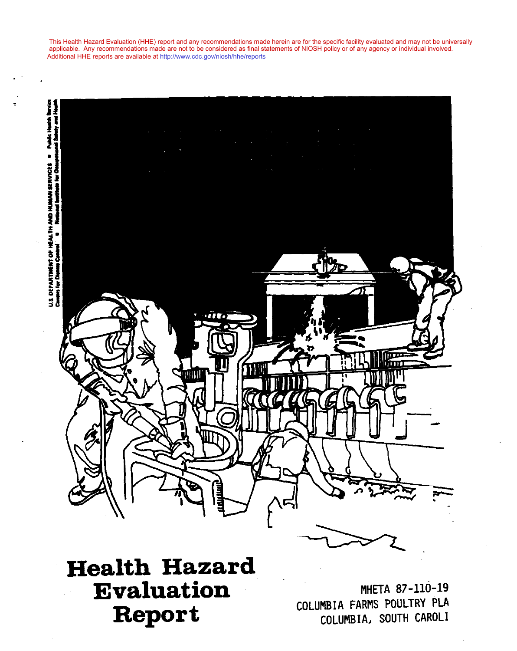applicable. Any recommendations made are not to be considered as final statements of NIOSH policy or of any agency or individual involved. Additional HHE reports are available at [http://www.cdc.gov/niosh/hhe/reports](http://www.cdc.gov/niosh/hhe) This Health Hazard Evaluation (HHE) report and any recommendations made herein are for the specific facility evaluated and may not be universally

applicable. Any recommendations made are not to be considered as final statements of NIOSH policy or of any agency or individual involved.



# **Health Hazard** Evaluation Report

MHETA 87-110-19 COLUMBIA FARMS POULTRY PLA COLUMBIA, SOUTH CAROLI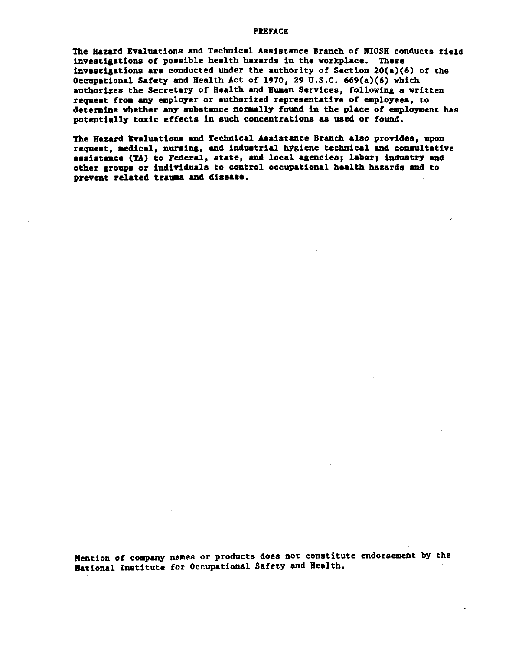#### **PREFACE**

The Hazard Evaluations and Technical Assistance Branch of NIOSH conducts field investigations of possible health hazards in the workplace. These investigations are conducted under the authority of Section  $20(a)(6)$  of the Occupational Safety and Health Act of 1970, 29 U.S.C. 669(a)(6) which authorizes the Secretary of Health and Human Services, following a written request from any employer or authorized representative of employees, to determine whether any substance normally found in the place of employment has potentially toxic effects in such concentrations as used or found.

The Hazard Evaluations and Technical Assistance Branch also provides, upon request, medical, nursing, and industrial hygiene technical and consultative assistance (TA) to Federal, state, and local agencies; labor; industry and other groups or individuals to control occupational health hazards and to prevent related trauma and disease.

Mention of company names or products does not constitute endorsement by the National Institute for Occupational Safety and Health.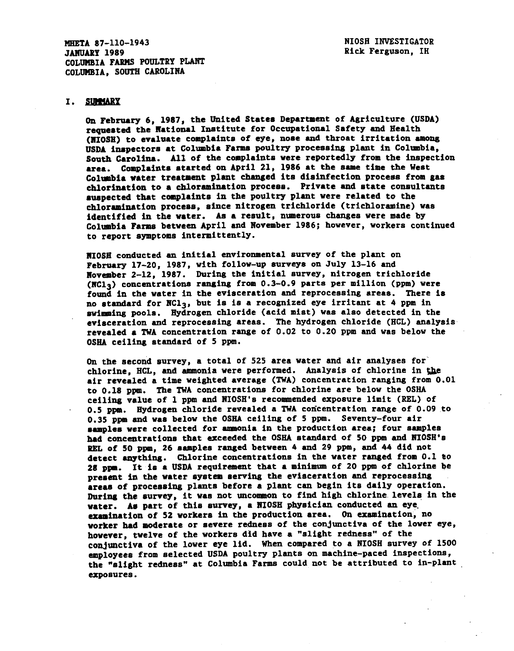MHETA 87-110-1943 **JANUARY 1989** COLUMBIA FARMS POULTRY PLANT COLUMBIA, SOUTH CAROLINA

#### I. SUMMARY

On February 6, 1987, the United States Department of Agriculture (USDA) requested the National Institute for Occupational Safety and Health (NIOSH) to evaluate complaints of eye, nose and throat irritation among USDA inspectors at Columbia Farms poultry processing plant in Columbia. South Carolina. All of the complaints were reportedly from the inspection area. Complaints started on April 21, 1986 at the same time the West Columbia water treatment plant changed its disinfection process from gas chlorination to a chloramination process. Private and state consultants auspected that complaints in the poultry plant were related to the chloramination process, since nitrogen trichloride (trichloramine) was identified in the water. As a result, numerous changes were made by Columbia Farms between April and November 1986; however, workers continued to report symptoms intermittently.

NIOSH conducted an initial environmental survey of the plant on February 17-20, 1987, with follow-up surveys on July 13-16 and November 2-12, 1987. During the initial survey, nitrogen trichloride (NCl3) concentrations ranging from 0.3-0.9 parts per million (ppm) were found in the water in the evisceration and reprocessing areas. There is no standard for NCl<sub>3</sub>, but is is a recognized eye irritant at 4 ppm in swimming pools. Hydrogen chloride (acid mist) was also detected in the evisceration and reprocessing areas. The hydrogen chloride (HCL) analysis revealed a TWA concentration range of 0.02 to 0.20 ppm and was below the OSHA ceiling standard of 5 ppm.

On the second survey, a total of 525 area water and air analyses for chlorine, HCL, and ammonia were performed. Analysis of chlorine in the air revealed a time weighted average (TWA) concentration ranging from 0.01 to 0.18 ppm. The TWA concentrations for chlorine are below the OSHA ceiling value of 1 ppm and NIOSH's recommended exposure limit (REL) of 0.5 ppm. Hydrogen chloride revealed a TWA concentration range of 0.09 to 0.35 ppm and was below the OSHA ceiling of 5 ppm. Seventy-four air samples were collected for ammonia in the production area; four samples had concentrations that exceeded the OSHA standard of 50 ppm and NIOSH's REL of 50 ppm, 26 samples ranged between 4 and 29 ppm, and 44 did not detect anything. Chlorine concentrations in the water ranged from 0.1 to 28 ppm. It is a USDA requirement that a minimum of 20 ppm of chlorine be present in the water system serving the evisceration and reprocessing areas of processing plants before a plant can begin its daily operation. During the survey, it was not uncommon to find high chlorine levels in the water. As part of this survey, a NIOSH physician conducted an eye examination of 52 workers in the production area. On examination, no worker had moderate or severe redness of the conjunctiva of the lower eye, however, twelve of the workers did have a "slight redness" of the conjunctiva of the lower eye lid. When compared to a NIOSH survey of 1500 employees from selected USDA poultry plants on machine-paced inspections, the "slight redness" at Columbia Farms could not be attributed to in-plant exposures.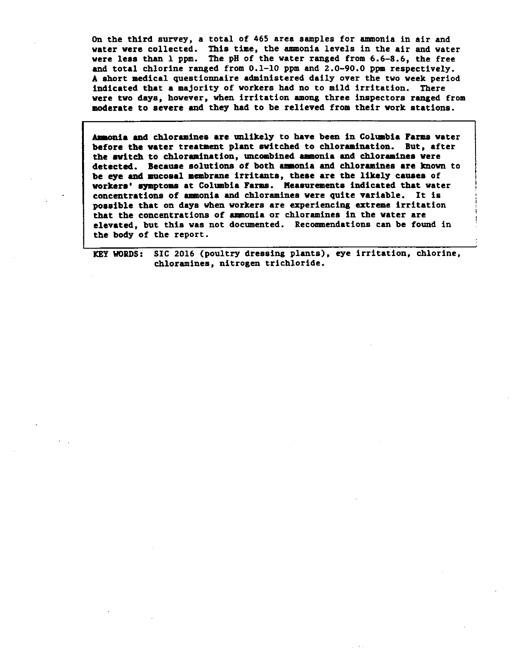On the third survey, a total of 465 area samples for ammonia in air and water were collected. This time, the ammonia levels in the air and water were less than 1 ppm. The pH of the water ranged from 6.6-8.6, the free and total chlorine ranged from 0.1-10 ppm and 2.0-90.0 ppm respectively. A short medical questionnaire administered daily over the two week period indicated that a majority of workers had no to mild irritation. There were two days, however, when irritation among three inspectors ranged from moderate to severe and they had to be relieved from their work stations.

Ammonia and chloramines are unlikely to have been in Columbia Farms water before the water treatment plant switched to chloramination. But, after the switch to chloramination, uncombined ammonia and chloramines were detected. Because solutions of both ammonia and chloramines are known to be eye and mucosal membrane irritants, these are the likely causes of workers' symptoms at Columbia Farms. Measurements indicated that water concentrations of ammonia and chloramines were quite variable. It is possible that on days when workers are experiencing extreme irritation that the concentrations of ammonia or chloramines in the water are elevated, but this was not documented. Recommendations can be found in the body of the report.

KEY WORDS: SIC 2016 (poultry dressing plants), eye irritation, chlorine, chloramines, nitrogen trichloride.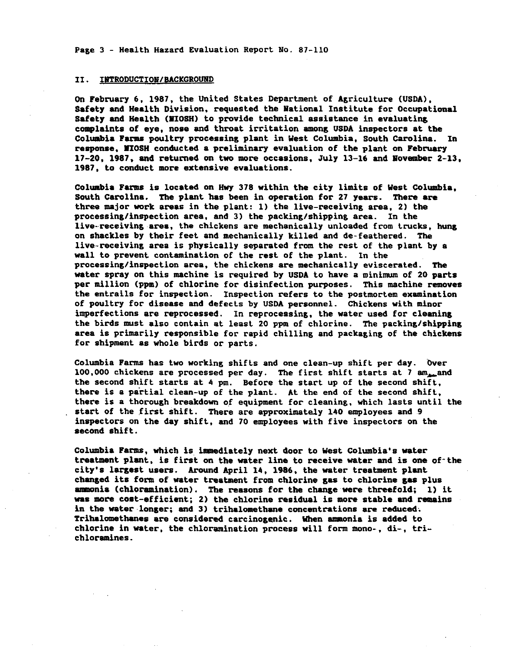Page 3 - Health Hazard Evaluation Report No. 87-110

#### INTRODUCTION/BACKGROUND II.

On February 6, 1987, the United States Department of Agriculture (USDA), Safety and Health Division, requested the National Institute for Occupational Safety and Health (NIOSH) to provide technical assistance in evaluating complaints of eye, nose and throat irritation among USDA inspectors at the Columbia Farms poultry processing plant in West Columbia, South Carolina. In response, MIOSH conducted a preliminary evaluation of the plant on February 17-20, 1987, and returned on two more occasions, July 13-16 and November 2-13. 1987, to conduct more extensive evaluations.

Columbia Farms is located on Hwy 378 within the city limits of West Columbia, South Carolina. The plant has been in operation for 27 years. There are three major work areas in the plant: 1) the live-receiving area, 2) the processing/inspection area, and 3) the packing/shipping area. In the live-receiving area, the chickens are mechanically unloaded from trucks, hung on shackles by their feet and mechanically killed and de-feathered. The live-receiving area is physically separated from the rest of the plant by a wall to prevent contamination of the rest of the plant. In the processing/inspection area, the chickens are mechanically eviscerated. The water spray on this machine is required by USDA to have a minimum of 20 parts per million (ppm) of chlorine for disinfection purposes. This machine removes the entrails for inspection. Inspection refers to the postmortem examination of poultry for disease and defects by USDA personnel. Chickens with minor imperfections are reprocessed. In reprocessing, the water used for cleaning the birds must also contain at least 20 ppm of chlorine. The packing/shipping area is primarily responsible for rapid chilling and packaging of the chickens for shipment as whole birds or parts.

Columbia Farms has two working shifts and one clean-up shift per day. Over 100,000 chickens are processed per day. The first shift starts at 7 am<sub>am</sub>and the second shift starts at 4 pm. Before the start up of the second shift, there is a partial clean-up of the plant. At the end of the second shift, there is a thorough breakdown of equipment for cleaning, which lasts until the start of the first shift. There are approximately 140 employees and 9 inspectors on the day shift, and 70 employees with five inspectors on the second shift.

Columbia Farms, which is immediately next door to West Columbia's water treatment plant, is first on the water line to receive water and is one of the city's largest users. Around April 14, 1986, the water treatment plant changed its form of water treatment from chlorine gas to chlorine gas plus ammonia (chloramination). The reasons for the change were threefold; 1) it was more cost-efficient; 2) the chlorine residual is more stable and remains in the water longer; and 3) trihalomethane concentrations are reduced. Trihalomethanes are considered carcinogenic. When ammonia is added to chlorine in water, the chloramination process will form mono-, di-, trichloramines.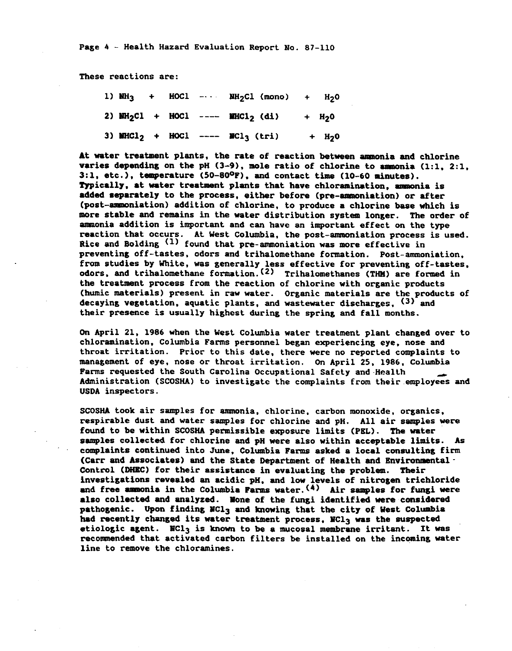These reactions are:

|  |  | 1) $NH_3$ + HOCl --- $MH_2Cl$ (mono) + $H_2O$                              |  |
|--|--|----------------------------------------------------------------------------|--|
|  |  | 2) $MH_2Cl$ + HOCl ---- $MHCl_2$ (di) + $H_2O$                             |  |
|  |  | 3) MHCl <sub>2</sub> + HOCl ---- MCl <sub>3</sub> (tri) + H <sub>2</sub> 0 |  |

At water treatment plants, the rate of reaction between ammonia and chlorine varies depending on the pH  $(3-9)$ , mole ratio of chlorine to ammonia  $(1:1, 2:1, 1)$ 3:1, etc.), temperature  $(50-80^{\circ}P)$ , and contact time  $(10-60$  minutes). Typically, at water treatment plants that have chloramination, ammonia is added separately to the process, either before (pre-ammoniation) or after (post-ammoniation) addition of chlorine, to produce a chlorine base which is more stable and remains in the water distribution system longer. The order of ammonia addition is important and can have an important effect on the type reaction that occurs. At West Columbia, the post-ammoniation process is used. Rice and Bolding <sup>(1)</sup> found that pre-ammoniation was more effective in preventing off-tastes, odors and trihalomethane formation. Post-ammoniation, from studies by White, was generally less effective for preventing off-tastes. odors, and trihalomethane formation. (2) Trihalomethanes (THM) are formed in the treatment process from the reaction of chlorine with organic products (humic materials) present in raw water. Organic materials are the products of decaying vegetation, aquatic plants, and wastewater discharges, <sup>(3)</sup> and their presence is usually highest during the spring and fall months.

On April 21, 1986 when the West Columbia water treatment plant changed over to chloramination, Columbia Farms personnel began experiencing eye, nose and throat irritation. Prior to this date, there were no reported complaints to management of eye, nose or throat irritation. On April 25, 1986, Columbia Farms requested the South Carolina Occupational Safety and Health Administration (SCOSHA) to investigate the complaints from their employees and USDA inspectors.

SCOSHA took air samples for ammonia, chlorine, carbon monoxide, organics, respirable dust and water samples for chlorine and pH. All air samples were found to be within SCOSHA permissible exposure limits (PEL). The water samples collected for chlorine and pH were also within acceptable limits. As complaints continued into June, Columbia Farms asked a local consulting firm (Carr and Associates) and the State Department of Health and Environmental -Control (DHEC) for their assistance in evaluating the problem. Their investigations revealed an acidic pH, and low levels of nitrogen trichloride and free ammonia in the Columbia Farms water.  $(4)$  Air samples for fungi were also collected and analyzed. None of the fungi identified were considered pathogenic. Upon finding NCl<sub>3</sub> and knowing that the city of West Columbia had recently changed its water treatment process, MCl<sub>3</sub> was the suspected etiologic agent. NCl3 is known to be a mucosal membrane irritant. It was recommended that activated carbon filters be installed on the incoming water line to remove the chloramines.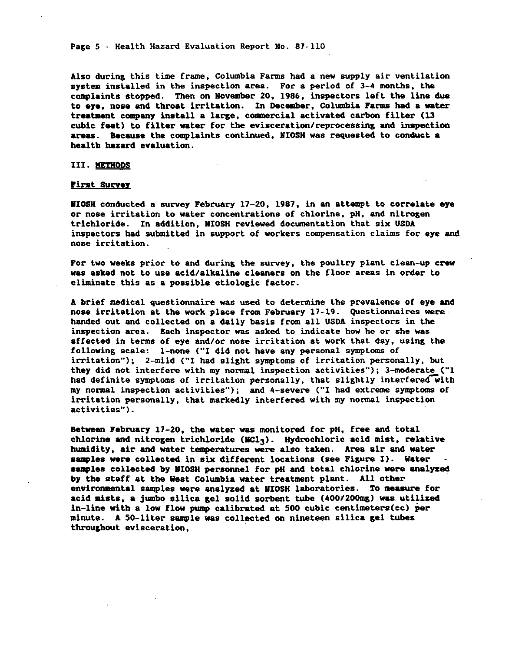Page 5 - Health Hazard Evaluation Report No. 87-110

Also during this time frame, Columbia Farms had a new supply air ventilation system installed in the inspection area. For a period of 3-4 months, the complaints stopped. Then on November 20, 1986, inspectors left the line due to eye, nose and throat irritation. In December, Columbia Farms had a water treatment company install a large, commercial activated carbon filter (13 cubic feet) to filter water for the evisceration/reprocessing and inspection areas. Because the complaints continued, NIOSH was requested to conduct a health hazard evaluation.

#### III. METHODS

#### **First Survey**

WIOSH conducted a survey February 17-20, 1987, in an attempt to correlate eye or nose irritation to water concentrations of chlorine, pH, and nitrogen trichloride. In addition, NIOSH reviewed documentation that six USDA inspectors had submitted in support of workers compensation claims for eye and nose irritation.

For two weeks prior to and during the survey, the poultry plant clean-up crew was asked not to use acid/alkaline cleaners on the floor areas in order to eliminate this as a possible etiologic factor.

A brief medical questionnaire was used to determine the prevalence of eye and nose irritation at the work place from February 17-19. Questionnaires were handed out and collected on a daily basis from all USDA inspectors in the inspection area. Each inspector was asked to indicate how he or she was affected in terms of eye and/or nose irritation at work that day, using the following scale: 1-none ("I did not have any personal symptoms of irritation"); 2-mild ("I had slight symptoms of irritation personally, but they did not interfere with my normal inspection activities"); 3-moderate ("I had definite symptoms of irritation personally, that slightly interfered with my normal inspection activities"); and 4-severe ("I had extreme symptoms of irritation personally, that markedly interfered with my normal inspection activities").

Between February 17-20, the water was monitored for pH, free and total chlorine and nitrogen trichloride ( $MC1<sub>3</sub>$ ). Hydrochloric acid mist, relative humidity, air and water temperatures were also taken. Area air and water samples were collected in six different locations (see Figure I). Water samples collected by MIOSH personnel for pH and total chlorine were analyzed by the staff at the West Columbia water treatment plant. All other environmental samples were analyzed at NIOSH laboratories. To measure for acid mists, a jumbo silica gel solid sorbent tube (400/200mg) was utilized in-line with a low flow pump calibrated at 500 cubic centimeters(cc) per minute. A 50-liter sample was collected on nineteen silica gel tubes throughout evisceration,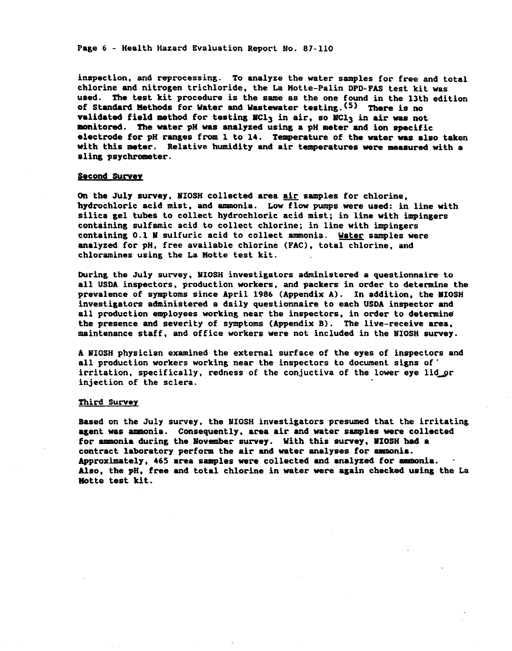Page 6 - Health Hazard Evaluation Report No. 87-110

inspection, and reprocessing. To analyze the water samples for free and total chlorine and nitrogen trichloride, the La Motte-Palin DPD-FAS test kit was used. The test kit procedure is the same as the one found in the 13th edition of Standard Methods for Water and Wastewater testing. (5) There is no validated field method for testing MCl<sub>3</sub> in air, so NCl<sub>3</sub> in air was not monitored. The water pH was analyzed using a pH meter and ion specific electrode for pH ranges from 1 to 14. Temperature of the water was also taken with this meter. Relative humidity and air temperatures were measured with a sling psychrometer.

#### Second Survey

On the July survey, NIOSH collected area air samples for chlorine. hydrochloric acid mist, and ammonia. Low flow pumps were used: in line with silica gel tubes to collect hydrochloric acid mist; in line with impingers containing sulfamic acid to collect chlorine; in line with impingers containing 0.1 N sulfuric acid to collect ammonia. Water samples were analyzed for pH, free available chlorine (FAC), total chlorine, and chloramines using the La Motte test kit.

During the July survey, NIOSH investigators administered a questionnaire to all USDA inspectors, production workers, and packers in order to determine the prevalence of symptoms since April 1986 (Appendix A). In addition, the NIOSH investigators administered a daily questionnaire to each USDA inspector and all production employees working near the inspectors, in order to determine the presence and severity of symptoms (Appendix B). The live-receive area. maintenance staff, and office workers were not included in the NIOSH survey.

A NIOSH physician examined the external surface of the eyes of inspectors and all production workers working near the inspectors to document signs of irritation, specifically, redness of the conjuctiva of the lower eye lid or injection of the sclera.

#### Third Survey

Based on the July survey, the NIOSH investigators presumed that the irritating agent was ammonia. Consequently, area air and water samples were collected for ammonia during the November survey. With this survey, NIOSH had a contract laboratory perform the air and water analyses for ammonia. Approximately, 465 area samples were collected and analyzed for ammonia. Also, the pH, free and total chlorine in water were again checked using the La Motte test kit.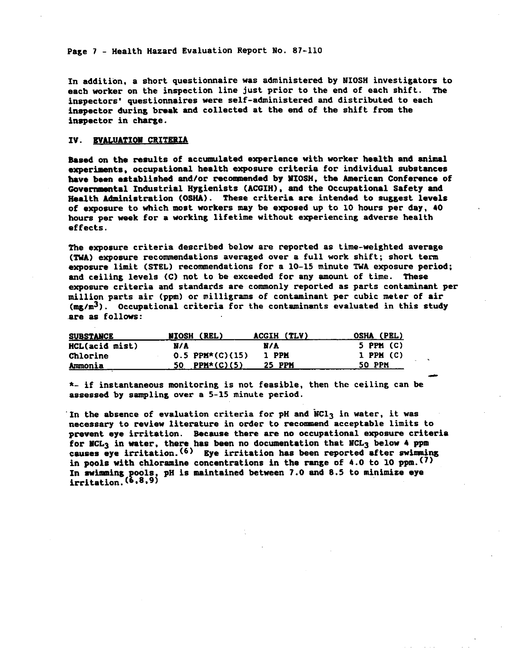Page 7 - Health Hazard Evaluation Report No. 87-110

In addition, a short questionnaire was administered by NIOSH investigators to each worker on the inspection line just prior to the end of each shift. The inspectors' questionnaires were self-administered and distributed to each inspector during break and collected at the end of the shift from the inspector in charge.

#### IV. EVALUATION CRITERIA

Based on the results of accumulated experience with worker health and animal experiments, occupational health exposure criteria for individual substances have been established and/or recommended by MIOSH, the American Conference of Governmental Industrial Hygienists (ACGIH), and the Occupational Safety and Health Administration (OSHA). These criteria are intended to suggest levels of exposure to which most workers may be exposed up to 10 hours per day, 40 hours per week for a working lifetime without experiencing adverse health effects.

The exposure criteria described below are reported as time-weighted average (TWA) exposure recommendations averaged over a full work shift; short term exposure limit (STEL) recommendations for a 10-15 minute TWA exposure period; and ceiling levels (C) not to be exceeded for any amount of time. These exposure criteria and standards are commonly reported as parts contaminant per million parts air (ppm) or milligrams of contaminant per cubic meter of air  $(\text{max/m}^3)$ . Occupational criteria for the contaminants evaluated in this study are as follows:

| <b>SUBSTANCE</b>      | (REL)<br><b>NIOSH</b> | ACGIH (TLV) | OSHA (PEL)    |
|-----------------------|-----------------------|-------------|---------------|
| <b>HCL(acid mist)</b> | N/A                   | N/A         | $5$ PPM $(C)$ |
| Chlorine              | $0.5$ PPM*(C)(15)     | 1 PPM       | $1$ PPM $(C)$ |
| <u>Ammonia</u>        | PPM*(C)(5)            | 25 PPM      | 50 PPM        |

\*- if instantaneous monitoring is not feasible, then the ceiling can be assessed by sampling over a 5-15 minute period.

In the absence of evaluation criteria for pH and  $NC1<sub>3</sub>$  in water, it was necessary to review literature in order to recommend acceptable limits to prevent eye irritation. Because there are no occupational exposure criteria for NCL<sub>3</sub> in water, there has been no documentation that NCL<sub>3</sub> below 4 ppm causes eye irritation. (6) Eye irritation has been reported after swimming in pools with chloramine concentrations in the range of 4.0 to 10 ppm.<sup>(7)</sup> In swimming pools, pH is maintained between 7.0 and 8.5 to minimize eye irritation.  $(6,8,9)$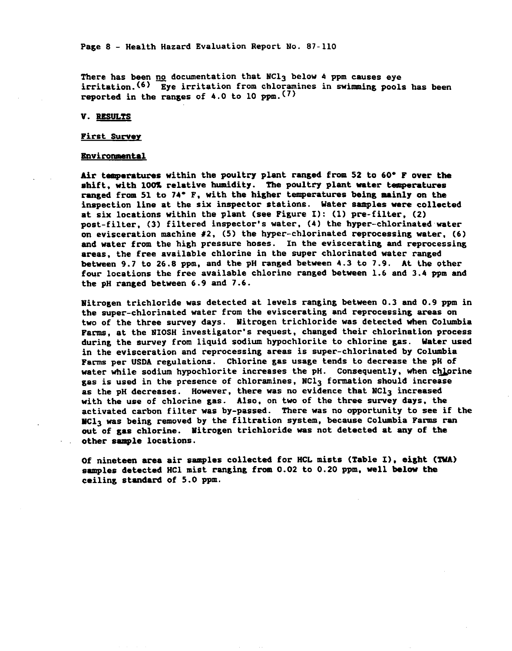Page 8 - Health Hazard Evaluation Report No. 87-110

There has been no documentation that NCl<sub>3</sub> below 4 ppm causes eye irritation. (6) Eye irritation from chloramines in swimming pools has been reported in the ranges of 4.0 to 10 ppm.  $(7)$ 

V. RESULTS

#### **First Survey**

#### **Environmental**

Air temperatures within the poultry plant ranged from 52 to 60° F over the shift, with 100% relative humidity. The poultry plant water temperatures ranged from 51 to 74° F, with the higher temperatures being mainly on the inspection line at the six inspector stations. Water samples were collected at six locations within the plant (see Figure I): (1) pre-filter. (2) post-filter, (3) filtered inspector's water, (4) the hyper-chlorinated water on evisceration machine  $#2$ , (5) the hyper-chlorinated reprocessing water, (6) and water from the high pressure hoses. In the eviscerating and reprocessing areas, the free available chlorine in the super chlorinated water ranged between 9.7 to 26.8 ppm, and the pH ranged between 4.3 to 7.9. At the other four locations the free available chlorine ranged between 1.6 and 3.4 ppm and the pH ranged between 6.9 and 7.6.

Nitrogen trichloride was detected at levels ranging between 0.3 and 0.9 ppm in the super-chlorinated water from the eviscerating and reprocessing areas on two of the three survey days. Nitrogen trichloride was detected when Columbia Farms, at the NIOSH investigator's request, changed their chlorination process during the survey from liquid sodium hypochlorite to chlorine gas. Water used in the evisceration and reprocessing areas is super-chlorinated by Columbia Farms per USDA regulations. Chlorine gas usage tends to decrease the pH of water while sodium hypochlorite increases the pH. Consequently, when chlorine gas is used in the presence of chloramines, NCl3 formation should increase as the pH decreases. However, there was no evidence that NCl<sub>3</sub> increased with the use of chlorine gas. Also, on two of the three survey days, the activated carbon filter was by-passed. There was no opportunity to see if the MCl<sub>3</sub> was being removed by the filtration system, because Columbia Farms ran out of gas chlorine. Nitrogen trichloride was not detected at any of the other sample locations.

Of nineteen area air samples collected for HCL mists (Table I), eight (TWA) samples detected HCl mist ranging from 0.02 to 0.20 ppm, well below the ceiling standard of 5.0 ppm.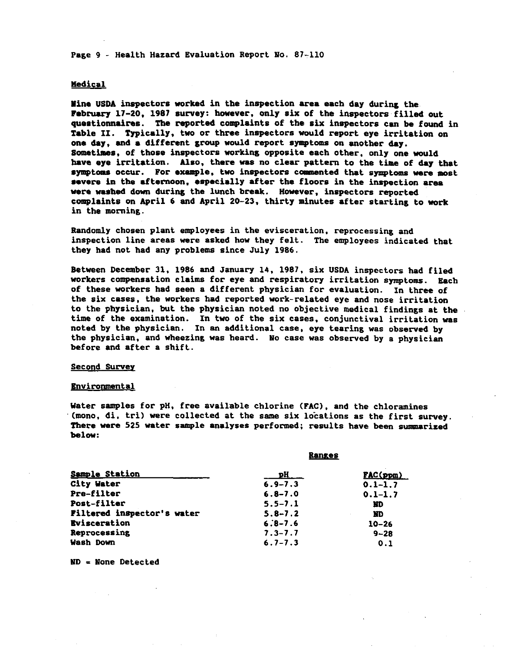Page 9 - Health Hazard Evaluation Report No. 87-110

#### Medical

Mine USDA inspectors worked in the inspection area each day during the February 17-20, 1987 survey: however, only six of the inspectors filled out questionnaires. The reported complaints of the six inspectors can be found in Table II. Typically, two or three inspectors would report eye irritation on one day, and a different group would report symptoms on another day. Sometimes, of those inspectors working opposite each other, only one would have eye irritation. Also, there was no clear pattern to the time of day that symptoms occur. For example, two inspectors commented that symptoms were most severe in the afternoon, especially after the floors in the inspection area were washed down during the lunch break. However, inspectors reported complaints on April 6 and April 20-23, thirty minutes after starting to work in the morning.

Randomly chosen plant employees in the evisceration, reprocessing and inspection line areas were asked how they felt. The employees indicated that they had not had any problems since July 1986.

Between December 31, 1986 and January 14, 1987, six USDA inspectors had filed workers compensation claims for eye and respiratory irritation symptoms. Each of these workers had seen a different physician for evaluation. In three of the six cases, the workers had reported work-related eye and nose irritation to the physician, but the physician noted no objective medical findings at the time of the examination. In two of the six cases, conjunctival irritation was noted by the physician. In an additional case, eye tearing was observed by the physician, and wheezing was heard. No case was observed by a physician before and after a shift.

#### Second Survey

#### Environmental

Water samples for pH, free available chlorine (FAC), and the chloramines (mono, di, tri) were collected at the same six locations as the first survey. There were 525 water sample analyses performed; results have been summarized below:

**Baneac** 

| P <sub>H</sub> | $FAC(ppm)$  |  |
|----------------|-------------|--|
| $6.9 - 7.3$    | $0.1 - 1.7$ |  |
| $6.8 - 7.0$    | $0.1 - 1.7$ |  |
| $5.5 - 7.1$    | ND          |  |
| $5.8 - 7.2$    | ND          |  |
| $6.8 - 7.6$    | $10 - 26$   |  |
| $7.3 - 7.7$    | $9 - 28$    |  |
| $6.7 - 7.3$    | 0.1         |  |
|                | -------     |  |

ND = None Detected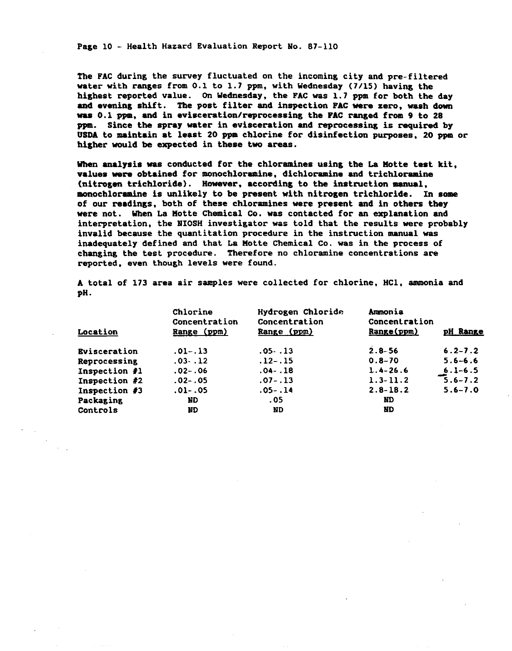Page 10 - Health Hazard Evaluation Report No. 87-110

The FAC during the survey fluctuated on the incoming city and pre-filtered water with ranges from  $0.1$  to  $1.7$  ppm, with Wednesday (7/15) having the highest reported value. On Wednesday, the FAC was 1.7 ppm for both the day and evening shift. The post filter and inspection FAC were zero, wash down was 0.1 ppm, and in evisceration/reprocessing the FAC ranged from 9 to 28 ppm. Since the spray water in evisceration and reprocessing is required by USDA to maintain at least 20 ppm chlorine for disinfection purposes, 20 ppm or higher would be expected in these two areas.

When analysis was conducted for the chloramines using the La Motte test kit. values were obtained for monochloramine, dichloramine and trichloramine (nitrogen trichloride). However, according to the instruction manual, monochloramine is unlikely to be present with nitrogen trichloride. In some of our readings, both of these chloramines were present and in others they were not. When La Motte Chemical Co. was contacted for an explanation and interpretation, the NIOSH investigator was told that the results were probably invalid because the quantitation procedure in the instruction manual was inadequately defined and that La Motte Chemical Co. was in the process of changing the test procedure. Therefore no chloramine concentrations are reported, even though levels were found.

A total of 173 area air samples were collected for chlorine, HCl, ammonia and pH.

| Location            | Chlorine<br>Concentration<br>Range (ppm) | Hydrogen Chloride<br>Concentration<br>Range (ppm) | Ammonia<br>Concentration<br>Range(ppm) | pH Range    |
|---------------------|------------------------------------------|---------------------------------------------------|----------------------------------------|-------------|
| <b>Evisceration</b> | $.01-.13$                                | . 05 - . 13                                       | $2.8 - 56$                             | $6.2 - 7.2$ |
| Reprocessing        | $.03-.12$                                | $.12 - .15$                                       | $0.8 - 70$                             | $5.6 - 6.6$ |
| Inspection #1       | $.02 - .06$                              | $.04-.18$                                         | $1.4 - 26.6$                           | $6.1 - 6.5$ |
| Inspection #2       | $.02-.05$                                | $.07 - .13$                                       | $1.3 - 11.2$                           | $5.6 - 7.2$ |
| Inspection #3       | $.01-.05$                                | $.05 - .14$                                       | $2.8 - 18.2$                           | $5.6 - 7.0$ |
| Packaging           | ND                                       | . 05                                              | ND                                     |             |
| Controls            | ND                                       | ND                                                | ND                                     |             |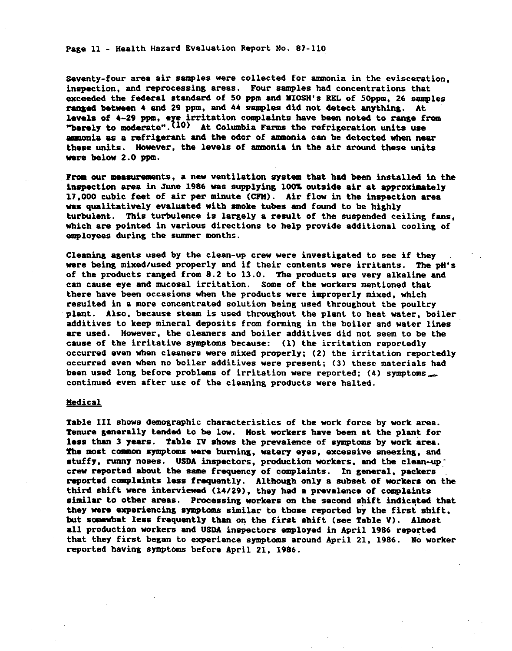Page 11 - Health Hazard Evaluation Report No. 87-110

Seventy-four area air samples were collected for ammonia in the evisceration. inspection, and reprocessing areas. Four samples had concentrations that exceeded the federal standard of 50 ppm and NIOSH's REL of 50ppm, 26 samples ranged between 4 and 29 ppm, and 44 samples did not detect anything. At levels of  $4-29$  ppm, eye irritation complaints have been noted to range from<br>"barely to moderate".<sup>(10)</sup> At Columbia Farms the refrigeration units use ammonia as a refrigerant and the odor of ammonia can be detected when near these units. However, the levels of ammonia in the air around these units were below 2.0 ppm.

From our measurements, a new ventilation system that had been installed in the inspection area in June 1986 was supplying 100% outside air at approximately 17,000 cubic feet of air per minute (CFM). Air flow in the inspection area was qualitatively evaluated with smoke tubes and found to be highly turbulent. This turbulence is largely a result of the suspended ceiling fans. which are pointed in various directions to help provide additional cooling of employees during the summer months.

Cleaning agents used by the clean-up crew were investigated to see if they were being mixed/used properly and if their contents were irritants. The pH's of the products ranged from 8.2 to 13.0. The products are very alkaline and can cause eye and mucosal irritation. Some of the workers mentioned that there have been occasions when the products were improperly mixed, which resulted in a more concentrated solution being used throughout the poultry plant. Also, because steam is used throughout the plant to heat water, boiler additives to keep mineral deposits from forming in the boiler and water lines are used. However, the cleaners and boiler additives did not seem to be the cause of the irritative symptoms because: (1) the irritation reportedly occurred even when cleaners were mixed properly; (2) the irritation reportedly occurred even when no boiler additives were present; (3) these materials had been used long before problems of irritation were reported; (4) symptoms continued even after use of the cleaning products were halted.

#### **Medical**

Table III shows demographic characteristics of the work force by work area. Tenure generally tended to be low. Most workers have been at the plant for less than 3 years. Table IV shows the prevalence of symptoms by work area. The most common symptoms were burning, watery eyes, excessive sneezing, and stuffy, runny noses. USDA inspectors, production workers, and the clean-up crew reported about the same frequency of complaints. In general, packers reported complaints less frequently. Although only a subset of workers on the third shift were interviewed (14/29), they had a prevalence of complaints similar to other areas. Processing workers on the second shift indicated that they were experiencing symptoms similar to those reported by the first shift, but somewhat less frequently than on the first shift (see Table V). Almost all production workers and USDA inspectors employed in April 1986 reported that they first began to experience symptoms around April 21, 1986. No worker reported having symptoms before April 21, 1986.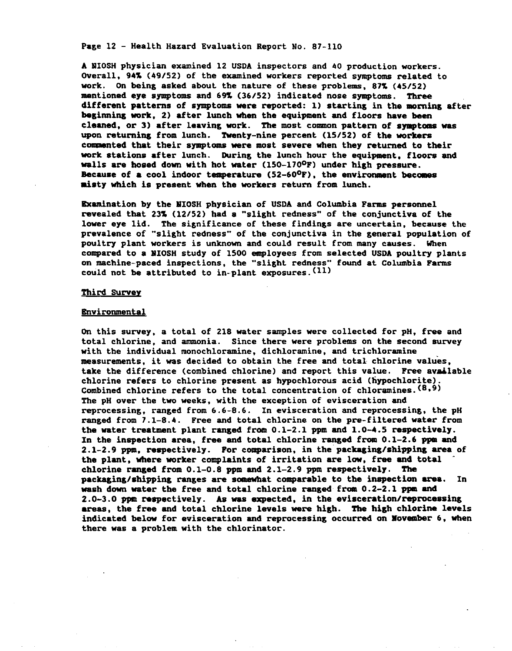Page 12 - Health Hazard Evaluation Report No. 87-110

A NIOSH physician examined 12 USDA inspectors and 40 production workers. Overall, 94% (49/52) of the examined workers reported symptoms related to work. On being asked about the nature of these problems, 87% (45/52) mentioned eye symptoms and 69% (36/52) indicated nose symptoms. Three different patterns of symptoms were reported: 1) starting in the morning after beginning work, 2) after lunch when the equipment and floors have been cleaned, or 3) after leaving work. The most common pattern of symptoms was upon returning from lunch. Twenty-nine percent (15/52) of the workers commented that their symptoms were most severe when they returned to their work stations after lunch. During the lunch hour the equipment, floors and walls are hosed down with hot water (150-170<sup>0</sup>F) under high pressure. Because of a cool indoor temperature  $(52-60^{\circ}F)$ , the environment becomes misty which is present when the workers return from lunch.

Examination by the MIOSH physician of USDA and Columbia Farms personnel revealed that 23% (12/52) had a "slight redness" of the conjunctiva of the lower eye lid. The significance of these findings are uncertain, because the prevalence of "slight redness" of the conjunctiva in the general population of poultry plant workers is unknown and could result from many causes. When compared to a NIOSH study of 1500 employees from selected USDA poultry plants on machine-paced inspections, the "slight redness" found at Columbia Farms could not be attributed to in-plant exposures. (11)

#### <u>Third Survey</u>

#### **Environmental**

On this survey, a total of 218 water samples were collected for pH, free and total chlorine, and ammonia. Since there were problems on the second survey with the individual monochloramine, dichloramine, and trichloramine measurements, it was decided to obtain the free and total chlorine values, take the difference (combined chlorine) and report this value. Free available chlorine refers to chlorine present as hypochlorous acid (hypochlorite). Combined chlorine refers to the total concentration of chloramines. (8,9) The pH over the two weeks, with the exception of evisceration and reprocessing, ranged from 6.6-8.6. In evisceration and reprocessing, the pH ranged from 7.1-8.4. Free and total chlorine on the pre-filtered water from the water treatment plant ranged from 0.1-2.1 ppm and 1.0-4.5 respectively. In the inspection area, free and total chlorine ranged from 0.1-2.6 ppm and 2.1-2.9 ppm, respectively. For comparison, in the packaging/shipping area of the plant, where worker complaints of irritation are low, free and total chlorine ranged from 0.1-0.8 ppm and 2.1-2.9 ppm respectively. The packaging/shipping ranges are somewhat comparable to the inspection area. In wash down water the free and total chlorine ranged from 0.2-2.1 ppm and 2.0-3.0 ppm respectively. As was expected, in the evisceration/reprocessing areas, the free and total chlorine levels were high. The high chlorine levels indicated below for evisceration and reprocessing occurred on Movember 6, when there was a problem with the chlorinator.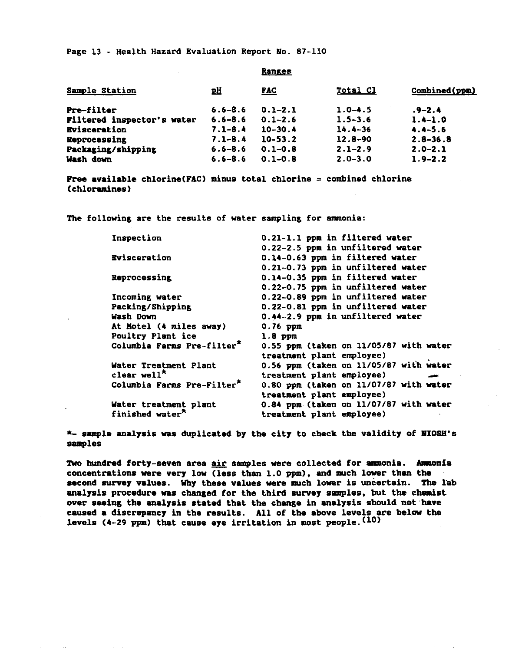Page 13 - Health Hazard Evaluation Report No. 87-110

|                            |             | $-$         |             |               |
|----------------------------|-------------|-------------|-------------|---------------|
| Sample Station             | <u>pH</u>   | <b>FAC</b>  | Total Cl    | Combined(ppm) |
| Pre-filter                 | $6.6 - 8.6$ | $0.1 - 2.1$ | $1.0 - 4.5$ | $-2.4$        |
| Filtered inspector's water | $6.6 - 8.6$ | $0.1 - 2.6$ | $1.5 - 3.6$ | $1.4 - 1.0$   |
| <b>Evisceration</b>        | $7.1 - 8.4$ | $10 - 30.4$ | $14.4 - 36$ | $4.4 - 5.6$   |
| Reprocessing               | $7.1 - 8.4$ | $10 - 53.2$ | $12.8 - 90$ | $2.8 - 36.8$  |
| Packaging/shipping         | $6.6 - 8.6$ | $0.1 - 0.8$ | $2.1 - 2.9$ | $2.0 - 2.1$   |
| Wash down                  | $6.6 - 8.6$ | $0.1 - 0.8$ | $2.0 - 3.0$ | $1.9 - 2.2$   |
|                            |             |             |             |               |

**Ranges** 

**Free available chlorine(FAC) minus total chlorine = combined chlorine** (chloramines)

The following are the results of water sampling for ammonia:

| Inspection                             | 0.21-1.1 ppm in filtered water         |
|----------------------------------------|----------------------------------------|
|                                        | 0.22-2.5 ppm in unfiltered water       |
| <b>Evisceration</b>                    | 0.14-0.63 ppm in filtered water        |
|                                        | 0.21-0.73 ppm in unfiltered water      |
| Reprocessing                           | 0.14-0.35 ppm in filtered water        |
|                                        | 0.22-0.75 ppm in unfiltered water      |
| Incoming water                         | 0.22-0.89 ppm in unfiltered water      |
| Packing/Shipping                       | 0.22-0.81 ppm in unfiltered water      |
| Wash Down                              | 0.44-2.9 ppm in unfiltered water       |
| At Motel (4 miles away)                | $0.76$ ppm                             |
| Poultry Plant ice                      | $1.8$ ppm                              |
| Columbia Farms Pre-filter*             | 0.55 ppm (taken on 11/05/87 with water |
|                                        | treatment plant employee)              |
| Water Treatment Plant                  | 0.56 ppm (taken on 11/05/87 with water |
| clear well <sup><math>x</math></sup>   | treatment plant employee)              |
| Columbia Farms Pre-Filter <sup>*</sup> | 0.80 ppm (taken on 11/07/87 with water |
|                                        | treatment plant employee)              |
| Water treatment plant                  | 0.84 ppm (taken on 11/07/87 with water |
| finished water <sup>*</sup>            | treatment plant employee)              |

\*- sample analysis was duplicated by the city to check the validity of MIOSH's samples

Two hundred forty-seven area air samples were collected for ammonia. Ammonia concentrations were very low (less than 1.0 ppm), and much lower than the second survey values. Why these values were much lower is uncertain. The lab analysis procedure was changed for the third survey samples, but the chemist over seeing the analysis stated that the change in analysis should not have caused a discrepancy in the results. All of the above levels are below the levels  $(4-29$  ppm) that cause eye irritation in most people.  $(10)$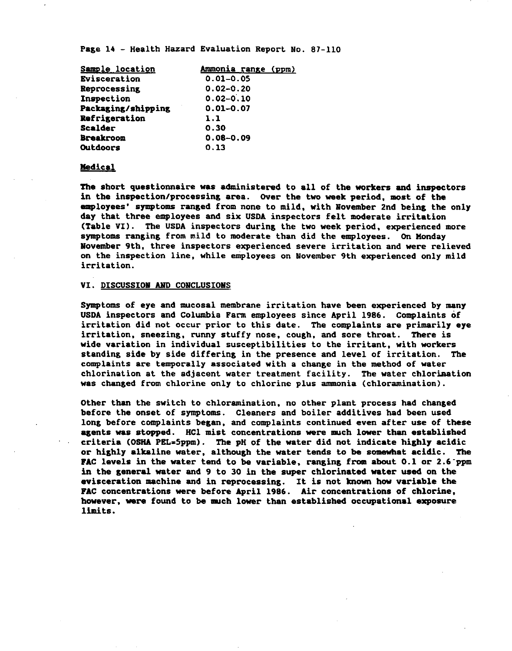Page 14 - Health Hazard Evaluation Report No. 87-110

| Sample location    | Ammonia range (ppm) |
|--------------------|---------------------|
| Evisceration       | $0.01 - 0.05$       |
| Reprocessing       | $0.02 - 0.20$       |
| Inspection         | $0.02 - 0.10$       |
| Packaging/shipping | $0.01 - 0.07$       |
| Refrigeration      | 1.1                 |
| Scalder            | 0.30                |
| <b>Breakroom</b>   | $0.08 - 0.09$       |
| Outdoors           | 0.13                |

#### Medical

The short questionnaire was administered to all of the workers and inspectors in the inspection/processing area. Over the two week period, most of the employees' symptoms ranged from none to mild, with November 2nd being the only day that three employees and six USDA inspectors felt moderate irritation (Table VI). The USDA inspectors during the two week period, experienced more symptoms ranging from mild to moderate than did the employees. On Monday November 9th, three inspectors experienced severe irritation and were relieved on the inspection line, while employees on November 9th experienced only mild irritation.

## VI. DISCUSSION AND CONCLUSIONS

Symptoms of eye and mucosal membrane irritation have been experienced by many USDA inspectors and Columbia Farm employees since April 1986. Complaints of irritation did not occur prior to this date. The complaints are primarily eye irritation, sneezing, runny stuffy nose, cough, and sore throat. There is wide variation in individual susceptibilities to the irritant, with workers standing side by side differing in the presence and level of irritation. The complaints are temporally associated with a change in the method of water chlorination at the adjacent water treatment facility. The water chlorination was changed from chlorine only to chlorine plus ammonia (chloramination).

Other than the switch to chloramination, no other plant process had changed before the onset of symptoms. Cleaners and boiler additives had been used long before complaints began, and complaints continued even after use of these agents was stopped. HCl mist concentrations were much lower than established criteria (OSHA PEL=5ppm). The pH of the water did not indicate highly acidic or highly alkaline water, although the water tends to be somewhat acidic. The FAC levels in the water tend to be variable, ranging from about 0.1 or 2.6 ppm in the general water and 9 to 30 in the super chlorinated water used on the evisceration machine and in reprocessing. It is not known how variable the FAC concentrations were before April 1986. Air concentrations of chlorine, however, were found to be much lower than established occupational exposure limits.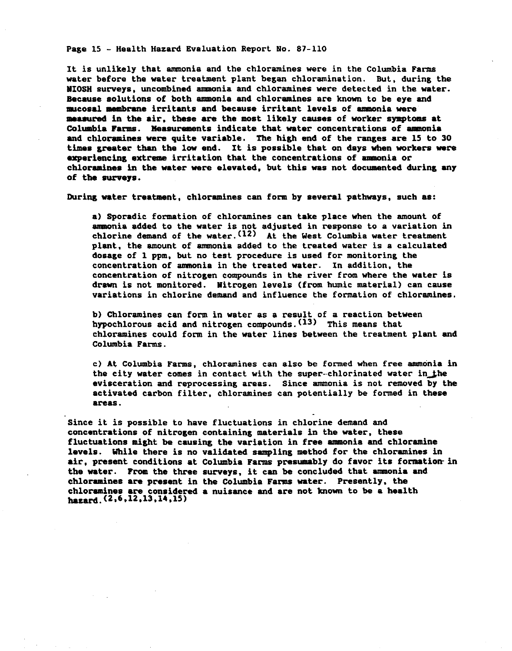Page 15 - Health Hazard Evaluation Report No. 87-110

It is unlikely that ammonia and the chloramines were in the Columbia Farms water before the water treatment plant began chloramination. But, during the NIOSH surveys, uncombined ammonia and chloramines were detected in the water. Because solutions of both ammonia and chloramines are known to be eye and mucosal membrane irritants and because irritant levels of ammonia were measured in the air, these are the most likely causes of worker symptoms at Columbia Farms. Measurements indicate that water concentrations of ammonia and chloramines were quite variable. The high end of the ranges are 15 to 30 times greater than the low end. It is possible that on days when workers were experiencing extreme irritation that the concentrations of ammonia or chloramines in the water were elevated, but this was not documented during any of the surveys.

During water treatment, chloramines can form by several pathways, such as:

a) Sporadic formation of chloramines can take place when the amount of ammonia added to the water is not adjusted in response to a variation in chlorine demand of the water. (12) At the West Columbia water treatment plant, the amount of ammonia added to the treated water is a calculated dosage of 1 ppm, but no test procedure is used for monitoring the concentration of ammonia in the treated water. In addition, the concentration of nitrogen compounds in the river from where the water is drawn is not monitored. Nitrogen levels (from humic material) can cause variations in chlorine demand and influence the formation of chloramines.

b) Chloramines can form in water as a result of a reaction between hypochlorous acid and nitrogen compounds. (13) This means that chloramines could form in the water lines between the treatment plant and Columbia Farms.

c) At Columbia Farms, chloramines can also be formed when free ammonia in the city water comes in contact with the super-chlorinated water in the evisceration and reprocessing areas. Since ammonia is not removed by the activated carbon filter, chloramines can potentially be formed in these areas.

Since it is possible to have fluctuations in chlorine demand and concentrations of nitrogen containing materials in the water, these fluctuations might be causing the variation in free ammonia and chloramine levels. While there is no validated sampling method for the chloramines in air, present conditions at Columbia Farms presumably do favor its formation in the water. From the three surveys, it can be concluded that ammonia and chloramines are present in the Columbia Farms water. Presently, the chloramines are considered a nuisance and are not known to be a health hazard.  $(2, 6, 12, 13, 14, 15)$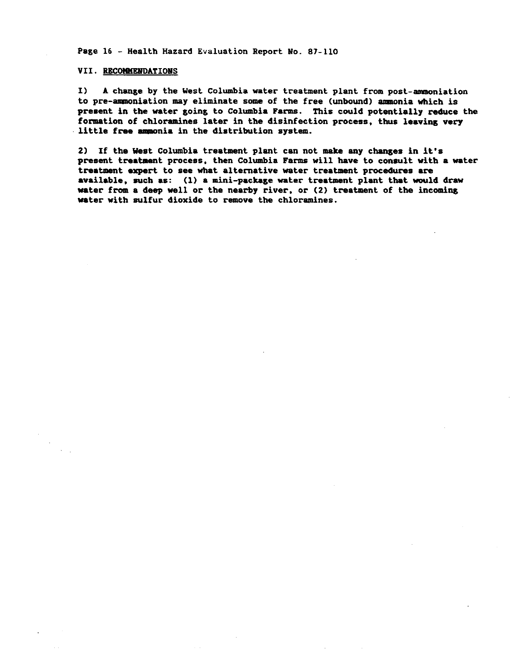Page 16 - Health Hazard Evaluation Report No. 87-110

#### VII. RECOMMENDATIONS

 $\mathbf{I}$ A change by the West Columbia water treatment plant from post-ammoniation to pre-ammoniation may eliminate some of the free (unbound) ammonia which is present in the water going to Columbia Farms. This could potentially reduce the formation of chloramines later in the disinfection process, thus leaving very little free ammonia in the distribution system.

2) If the West Columbia treatment plant can not make any changes in it's present treatment process, then Columbia Farms will have to consult with a water treatment expert to see what alternative water treatment procedures are available, such as: (1) a mini-package water treatment plant that would draw water from a deep well or the nearby river, or (2) treatment of the incoming water with sulfur dioxide to remove the chloramines.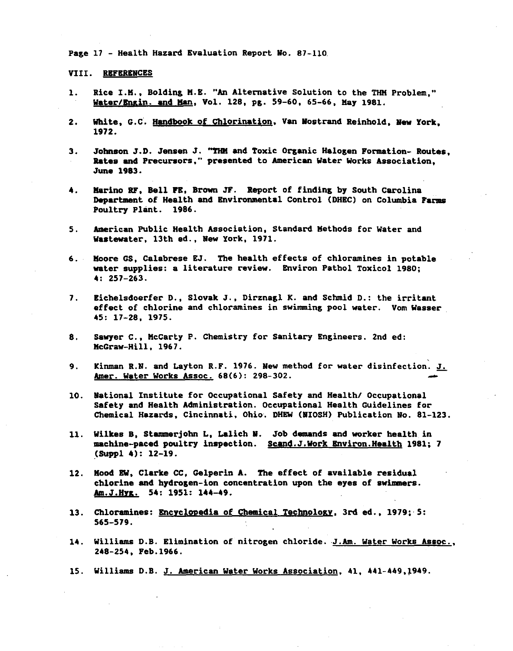Page 17 - Health Hazard Evaluation Report No. 87-110

VIII. REFERENCES

- Rice I.M., Bolding M.E. "An Alternative Solution to the THM Problem." 1. Water/Engin. and Man, Vol. 128, pg. 59-60, 65-66, May 1981.
- $2.$ White, G.C. Handbook of Chlorination, Van Nostrand Reinhold, New York. 1972.
- Johnson J.D. Jensen J. "THM and Toxic Organic Halogen Formation- Routes. 3. Rates and Precursors," presented to American Water Works Association, June 1983.
- Marino RF. Bell FE. Brown JF. Report of finding by South Carolina 4. Department of Health and Environmental Control (DHEC) on Columbia Farms Poultry Plant. 1986.
- American Public Health Association, Standard Methods for Water and  $5.$ Wastewater, 13th ed., New York, 1971.
- Moore GS. Calabrese EJ. The health effects of chloramines in potable  $6.$ water supplies: a literature review. Environ Pathol Toxicol 1980;  $4: 257 - 263.$
- $7.$ Eichelsdoerfer D., Slovak J., Dirznagl K. and Schmid D.: the irritant effect of chlorine and chloramines in swimming pool water. Vom Wasser 45: 17-28, 1975.
- Sawyer C., McCarty P. Chemistry for Sanitary Engineers. 2nd ed: 8. McGraw-Hill, 1967.
- Kinman R.N. and Layton R.F. 1976. New method for water disinfection. J. 9. Amer. Water Works Assoc. 68(6): 298-302.
- 10. National Institute for Occupational Safety and Health/ Occupational Safety and Health Administration. Occupational Health Guidelines for Chemical Hazards, Cincinnati, Ohio. DHEW (NIOSH) Publication No. 81-123.
- Wilkes B. Stammerjohn L. Lalich N. Job demands and worker health in  $11.$ machine-paced poultry inspection. Scand.J.Work Environ.Health 1981; 7  $(Supp1 4): 12-19.$
- 12. Mood EW, Clarke CC, Gelperin A. The effect of available residual chlorine and hydrogen-ion concentration upon the eyes of swimmers. Am.J.Hyg. 54: 1951: 144-49.
- 13. Chloramines: Encyclopedia of Chemical Technology, 3rd ed., 1979; 5:  $565 - 579.$
- 14. Williams D.B. Elimination of nitrogen chloride. J.Am. Water Works Assoc., 248-254, Feb.1966.
- 15. Williams D.B. J. American Water Works Association, 41, 441-449, 1949.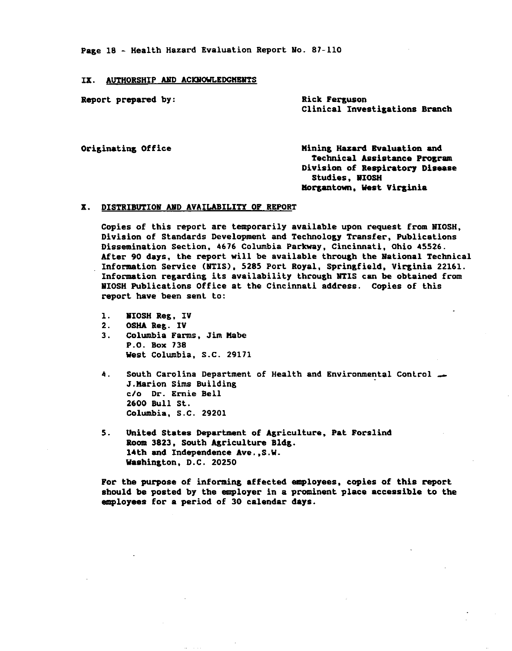Page 18 - Health Hazard Evaluation Report No. 87-110

#### IX. AUTHORSHIP AND ACKNOWLEDGMENTS

Report prepared by:

**Rick Ferguson** Clinical Investigations Branch

Originating Office

Mining Hazard Evaluation and Technical Assistance Program Division of Respiratory Disease **Studies, NIOSH** Morgantown, West Virginia

## X. DISTRIBUTION AND AVAILABILITY OF REPORT

Copies of this report are temporarily available upon request from NIOSH, Division of Standards Development and Technology Transfer, Publications Dissemination Section, 4676 Columbia Parkway, Cincinnati, Ohio 45526. After 90 days, the report will be available through the National Technical Information Service (NTIS), 5285 Port Royal, Springfield, Virginia 22161. Information regarding its availability through NTIS can be obtained from MIOSH Publications Office at the Cincinnati address. Copies of this report have been sent to:

- $\mathbf{1}$ . **NIOSH Reg. IV**
- $2.$ **OSHA Reg. IV**
- Columbia Farms, Jim Mabe  $3.$ P.O. Box 738 West Columbia, S.C. 29171
- South Carolina Department of Health and Environmental Control -4. J. Marion Sims Building c/o Dr. Ernie Bell 2600 Bull St. Columbia, S.C. 29201
- 5. United States Department of Agriculture, Pat Forslind Room 3823, South Agriculture Bldg. 14th and Independence Ave., S.W. Washington, D.C. 20250

For the purpose of informing affected employees, copies of this report should be posted by the employer in a prominent place accessible to the employees for a period of 30 calendar days.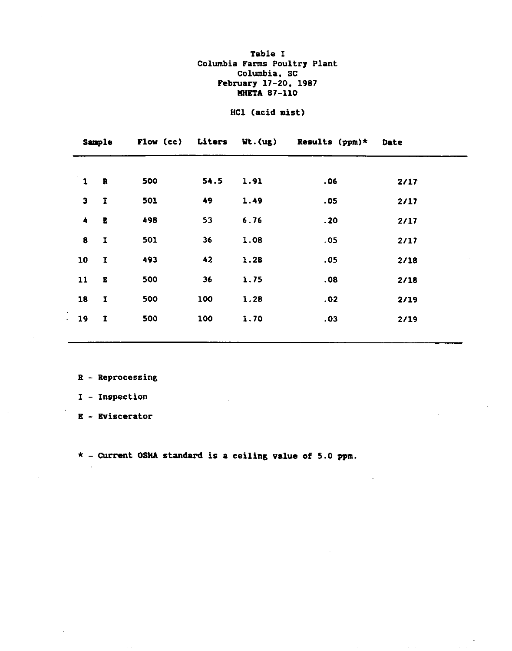## Table I Columbia Farms Poultry Plant Columbia, SC February 17-20, 1987 **MHETA 87-110**

## HCl (acid mist)

|                     | <b>Sample</b> |     |           |      | Flow (cc) Liters Wt. (ug) Results (ppm)* | Date |
|---------------------|---------------|-----|-----------|------|------------------------------------------|------|
|                     |               |     |           |      |                                          |      |
| $\mathbf{1}$        | $\mathbb{R}$  | 500 | 54.5      | 1.91 | .06                                      | 2/17 |
| $\mathbf{3}$        | $\mathbf I$   | 501 | 49        | 1.49 | .05                                      | 2/17 |
| $\ddot{\textbf{a}}$ | $\mathbf E$   | 498 | 53        | 6.76 | .20                                      | 2/17 |
| 8                   | $\mathbf I$   | 501 | 36        | 1.08 | .05                                      | 2/17 |
| 10                  | $\mathbf I$   | 493 | 42        | 1.28 | .05                                      | 2/18 |
| 11                  | $\bf E$       | 500 | 36        | 1.75 | .08                                      | 2/18 |
| 18                  | $\mathbf I$   | 500 | 100       | 1.28 | .02                                      | 2/19 |
| 19                  | $\mathbf I$   | 500 | 100<br>÷. | 1.70 | .03                                      | 2/19 |
|                     |               |     |           |      |                                          |      |

 $R$  - Reprocessing

I - Inspection

E - Eviscerator

 $\sim$ 

 $\star$  - Current OSHA standard is a ceiling value of 5.0 ppm.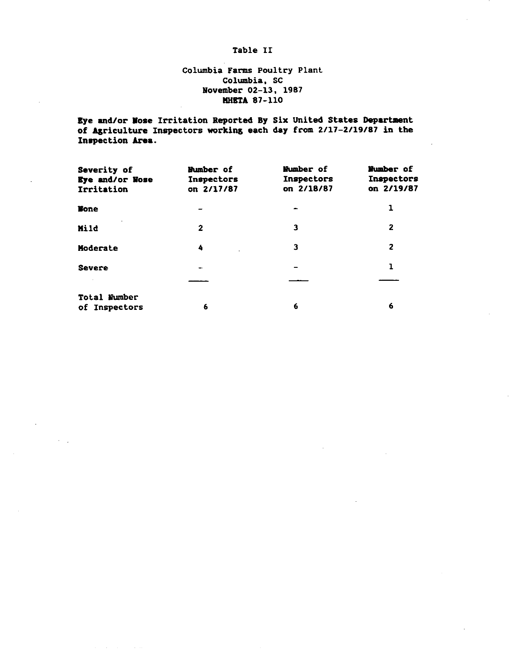## Table II

## Columbia Farms Poultry Plant Columbia, SC November 02-13, 1987 **MHETA 87-110**

Eye and/or Nose Irritation Reported By Six United States Department of Agriculture Inspectors working each day from 2/17-2/19/87 in the Inspection Area.

| Severity of<br>Eye and/or Nose<br>Irritation | Number of<br>Inspectors<br>on 2/17/87 | Number of<br>Inspectors<br>on 2/18/87 | Wumber of<br>Inspectors<br>on 2/19/87 |
|----------------------------------------------|---------------------------------------|---------------------------------------|---------------------------------------|
| <b>None</b>                                  |                                       |                                       | 1                                     |
| Mild                                         | $\mathbf{2}$                          | 3                                     | 2                                     |
| Moderate                                     | 4                                     | з                                     | 2                                     |
| <b>Severe</b>                                |                                       |                                       |                                       |
|                                              |                                       |                                       |                                       |
| Total Number<br>of Inspectors                | 6                                     | 6                                     | 6                                     |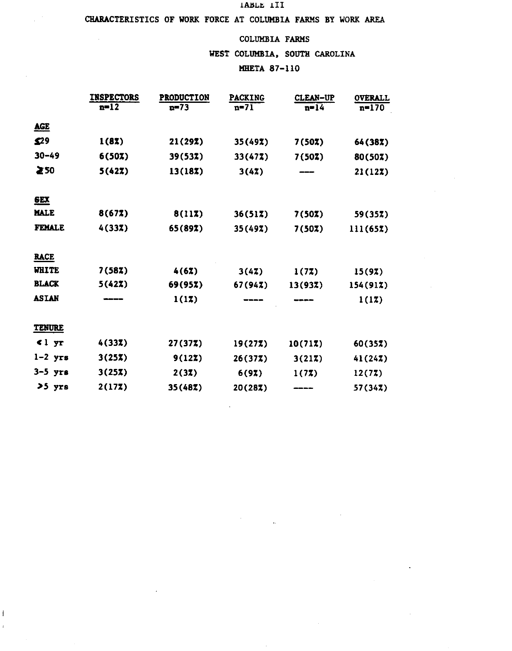#### IABLE III

## CHARACTERISTICS OF WORK FORCE AT COLUMBIA FARMS BY WORK AREA

 $\mathcal{L}$ 

 $\mathfrak l$  $\cdot$ 

## COLUMBIA FARMS

WEST COLUMBIA, SOUTH CAROLINA

## **MHETA 87-110**

 $\bar{z}$ 

|                 | <b>INSPECTORS</b><br>$n=12$ | <b>PRODUCTION</b><br>$n=73$ | <b>PACKING</b><br>$n=71$ | <b>CLEAN-UP</b><br>$n=14$ | <b>OVERALL</b><br>$n = 170$ |
|-----------------|-----------------------------|-----------------------------|--------------------------|---------------------------|-----------------------------|
| <b>AGE</b>      |                             |                             |                          |                           |                             |
| 529             | 1(8X)                       | 21 (297)                    | 35(49%)                  | 7(50X)                    | 64 (387)                    |
| $30 - 49$       | 6(50X)                      | 39(53%)                     | 33(477)                  | 7(50Z)                    | 80(50%)                     |
| ≥50             | 5(42%)                      | 13(187)                     | 3(47)                    |                           | 21(12X)                     |
| E X             |                             |                             |                          |                           |                             |
| <b>MALE</b>     | 8(67)                       | 8(117)                      | 36(51Z)                  | 7(50%)                    | 59(357)                     |
| <b>FEMALE</b>   | 4(337)                      | 65(89%)                     | 35(497)                  | 7(50%)                    | 111(657)                    |
| <b>RACE</b>     |                             |                             |                          |                           |                             |
| <b>WHITE</b>    | 7(58X)                      | 4(62)                       | 3(47)                    | 1(77)                     | 15(97)                      |
| <b>BLACK</b>    | 5(42%)                      | 69(95%)                     | 67(947)                  | 13(93Z)                   | 154(917)                    |
| <b>ASIAN</b>    |                             | 1(17)                       |                          |                           | 1(17)                       |
| <b>TENURE</b>   |                             |                             |                          |                           |                             |
| 1 <sub>yr</sub> | 4(33Z)                      | 27(37Z)                     | 19(277)                  | 10(71Z)                   | 60(357)                     |
| $1-2$ yrs       | 3(25X)                      | 9(127)                      | 26(377)                  | 3(217)                    | 41(247)                     |
| $3-5$ yrs       | 3(25X)                      | 2(32)                       | 6(92)                    | 1(72)                     | 12(72)                      |
| >5 yrs          | 2(177)                      | 35 (487)                    | 20(287)                  |                           | 57(347)                     |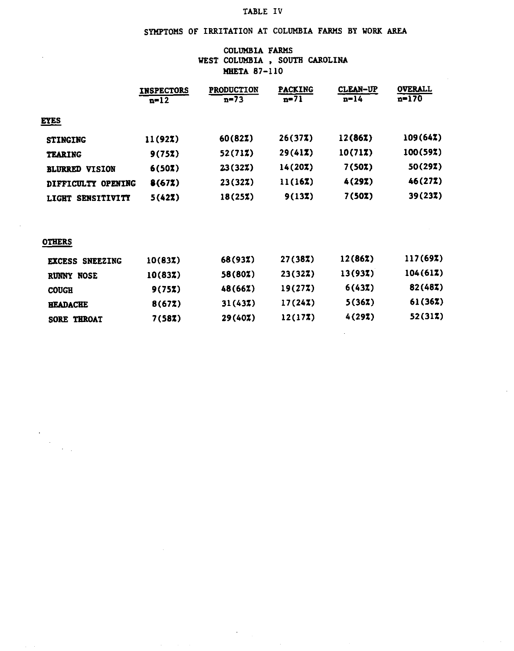## TABLE IV

# SYMPTOMS OF IRRITATION AT COLUMBIA FARMS BY WORK AREA

## COLUMBIA FARMS WEST COLUMBIA, SOUTH CAROLINA **MHETA 87-110**

|                                    | <b>INSPECTORS</b><br>$n = 12$ | <b>PRODUCTION</b><br>$n = 73$ | <b>PACKING</b><br>$n=71$ | <b>CLEAN-UP</b><br>n=14 | <b>OVERALL</b><br>$n=170$ |
|------------------------------------|-------------------------------|-------------------------------|--------------------------|-------------------------|---------------------------|
| <b>EYES</b>                        |                               |                               |                          |                         |                           |
| <b>STINGING</b>                    | 11(92X)                       | 60(82Z)                       | 26(377)                  | 12(86Z)                 | 109(64)                   |
| <b>TEARING</b>                     | 9(75X)                        | 52(712)                       | 29(417)                  | 10(71Z)                 | 100(59%)                  |
| <b>BLURRED VISION</b>              | 6(50X)                        | 23(327)                       | 14(20X)                  | 7(50X)                  | 50(297)                   |
| <b>OPENING</b><br>DIFFICULTY       | 8(67Z)                        | 23(327)                       | 11(16Z)                  | 4(29Z)                  | 46(277)                   |
| <b>SENSITIVITY</b><br><b>LIGHT</b> | 5(42Z)                        | 18(257)                       | 9(137)                   | 7(50%)                  | 39(237)                   |

## **OTHERS**

| <b>SNEEZING</b><br><b>EXCESS</b> | 10(837) | 68(93%) | 27(38%) | 12(862) | 117(69X) |
|----------------------------------|---------|---------|---------|---------|----------|
| <b>RUNNY NOSE</b>                | 10(837) | 58(80%) | 23(32Z) | 13(937) | 104(61Z) |
| <b>COUGH</b>                     | 9(75X)  | 48(66%) | 19(277) | 6(43Z)  | 82(487)  |
| <b>HEADACHE</b>                  | 8(672)  | 31(437) | 17(247) | 5(36X)  | 61(362)  |
| SORE THROAT                      | 7(58Z)  | 29(40)  | 12(177) | 4(29Z)  | 52(312)  |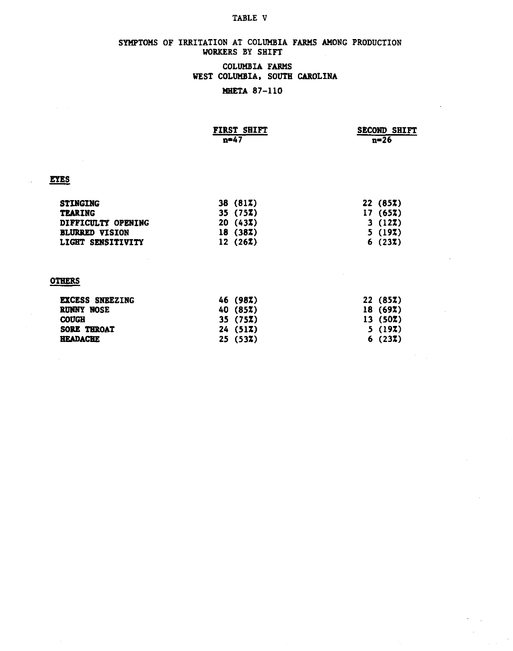#### TABLE V

## SYMPTOMS OF IRRITATION AT COLUMBIA FARMS AMONG PRODUCTION WORKERS BY SHIFT

## COLUMBIA FARMS WEST COLUMBIA, SOUTH CAROLINA

## **MHETA 87-110**

| FIRST SHIFT | <b>SECOND SHIFT</b> |
|-------------|---------------------|
| / 1≘0       | n=26                |

## **EYES**

| 38(817)  | 22(85)  |
|----------|---------|
| 35(75)   | 17(652) |
| 20(43)   | 3(127)  |
| 18 (387) | 5(197)  |
| 12(267)  | 6(237)  |
|          |         |

## **OTHERS**

| <b>EXCESS SNEEZING</b> | 46 (98%)        | 22 (85%) |
|------------------------|-----------------|----------|
| <b>RUNNY NOSE</b>      | 40 (85%)        | 18(69)   |
| <b>COUGH</b>           | 35(75)          | 13(50Z)  |
| <b>SORE THROAT</b>     | 24(517)         | 5(197)   |
| <b>HEADACHE</b>        | $25(53\bar{z})$ | 6(237)   |